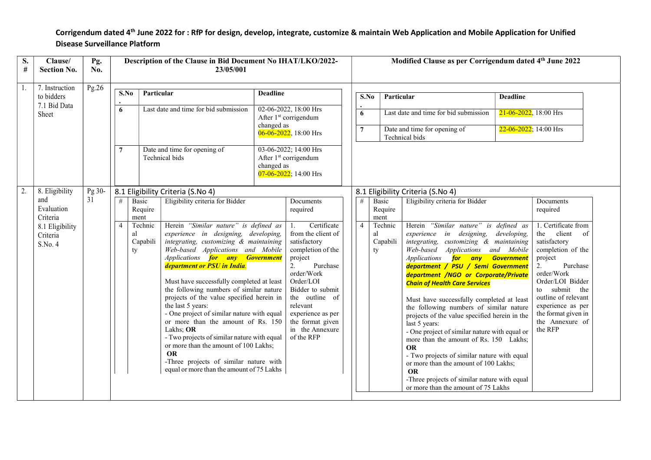## Corrigendum dated 4th June 2022 for : RfP for design, develop, integrate, customize & maintain Web Application and Mobile Application for Unified Disease Surveillance Platform

| S.<br>$\#$ | Clause/<br><b>Section No.</b>                      | Pg.<br>No. | Description of the Clause in Bid Document No IHAT/LKO/2022-<br>23/05/001 |                                 |                                                                                                                                                                                                                                                                                                                                                                                                                                                                                                                                                                                                                                                                                       |                                                                                                          |                                                                                                                                                                                                                                                                  |                                                                  |                 |                                 | Modified Clause as per Corrigendum dated 4th June 2022                                                                                                                                                                                                                                                                                                                                                                                                                                                                                                                                                                                                                                                                                                       |                           |                                                                                                                                                                                                                                                            |
|------------|----------------------------------------------------|------------|--------------------------------------------------------------------------|---------------------------------|---------------------------------------------------------------------------------------------------------------------------------------------------------------------------------------------------------------------------------------------------------------------------------------------------------------------------------------------------------------------------------------------------------------------------------------------------------------------------------------------------------------------------------------------------------------------------------------------------------------------------------------------------------------------------------------|----------------------------------------------------------------------------------------------------------|------------------------------------------------------------------------------------------------------------------------------------------------------------------------------------------------------------------------------------------------------------------|------------------------------------------------------------------|-----------------|---------------------------------|--------------------------------------------------------------------------------------------------------------------------------------------------------------------------------------------------------------------------------------------------------------------------------------------------------------------------------------------------------------------------------------------------------------------------------------------------------------------------------------------------------------------------------------------------------------------------------------------------------------------------------------------------------------------------------------------------------------------------------------------------------------|---------------------------|------------------------------------------------------------------------------------------------------------------------------------------------------------------------------------------------------------------------------------------------------------|
| 1.         | 7. Instruction<br>to bidders                       | Pg.26      | S.No                                                                     | Particular                      |                                                                                                                                                                                                                                                                                                                                                                                                                                                                                                                                                                                                                                                                                       | <b>Deadline</b><br>02-06-2022, 18:00 Hrs<br>After 1 <sup>st</sup> corrigendum                            |                                                                                                                                                                                                                                                                  |                                                                  | S.No            | Particular                      |                                                                                                                                                                                                                                                                                                                                                                                                                                                                                                                                                                                                                                                                                                                                                              | <b>Deadline</b>           |                                                                                                                                                                                                                                                            |
|            | 7.1 Bid Data<br>Sheet                              |            | 6                                                                        |                                 | Last date and time for bid submission                                                                                                                                                                                                                                                                                                                                                                                                                                                                                                                                                                                                                                                 |                                                                                                          |                                                                                                                                                                                                                                                                  |                                                                  | 6               |                                 | Last date and time for bid submission                                                                                                                                                                                                                                                                                                                                                                                                                                                                                                                                                                                                                                                                                                                        |                           | $21 - 06 - 2022$ , 18:00 Hrs                                                                                                                                                                                                                               |
|            |                                                    |            |                                                                          |                                 |                                                                                                                                                                                                                                                                                                                                                                                                                                                                                                                                                                                                                                                                                       | changed as<br>$06-06-2022$ , 18:00 Hrs                                                                   |                                                                                                                                                                                                                                                                  |                                                                  | $7\phantom{.0}$ |                                 | Date and time for opening of<br>Technical bids                                                                                                                                                                                                                                                                                                                                                                                                                                                                                                                                                                                                                                                                                                               | $22-06-2022$ ; 14:00 Hrs  |                                                                                                                                                                                                                                                            |
|            |                                                    |            |                                                                          |                                 | Date and time for opening of<br>Technical bids                                                                                                                                                                                                                                                                                                                                                                                                                                                                                                                                                                                                                                        | 03-06-2022; 14:00 Hrs<br>After 1 <sup>st</sup> corrigendum<br>changed as<br>$07 - 06 - 2022$ ; 14:00 Hrs |                                                                                                                                                                                                                                                                  |                                                                  |                 |                                 |                                                                                                                                                                                                                                                                                                                                                                                                                                                                                                                                                                                                                                                                                                                                                              |                           |                                                                                                                                                                                                                                                            |
| 2.         | 8. Eligibility                                     | Pg 30-     |                                                                          |                                 | 8.1 Eligibility Criteria (S.No 4)                                                                                                                                                                                                                                                                                                                                                                                                                                                                                                                                                                                                                                                     |                                                                                                          |                                                                                                                                                                                                                                                                  |                                                                  |                 |                                 | 8.1 Eligibility Criteria (S.No 4)                                                                                                                                                                                                                                                                                                                                                                                                                                                                                                                                                                                                                                                                                                                            |                           |                                                                                                                                                                                                                                                            |
|            | and<br>Evaluation                                  | 31         | #                                                                        | Basic<br>Require<br>ment        | Eligibility criteria for Bidder                                                                                                                                                                                                                                                                                                                                                                                                                                                                                                                                                                                                                                                       | Documents<br>required                                                                                    |                                                                                                                                                                                                                                                                  | Eligibility criteria for Bidder<br>Basic<br>#<br>Require<br>ment |                 |                                 |                                                                                                                                                                                                                                                                                                                                                                                                                                                                                                                                                                                                                                                                                                                                                              | Documents<br>required     |                                                                                                                                                                                                                                                            |
|            | Criteria<br>8.1 Eligibility<br>Criteria<br>S.No. 4 |            | $\overline{4}$                                                           | Technic<br>al<br>Capabili<br>ty | Herein "Similar nature" is defined as<br>experience in designing, developing,<br>integrating, customizing & maintaining<br>Web-based Applications and Mobile<br>Applications for any Government<br>department or PSU in India.<br>Must have successfully completed at least<br>the following numbers of similar nature<br>projects of the value specified herein in<br>the last 5 years:<br>- One project of similar nature with equal<br>or more than the amount of Rs. 150<br>Lakhs; OR<br>- Two projects of similar nature with equal<br>or more than the amount of 100 Lakhs;<br><b>OR</b><br>-Three projects of similar nature with<br>equal or more than the amount of 75 Lakhs |                                                                                                          | Certificate<br>1.<br>from the client of<br>satisfactory<br>completion of the<br>project<br>2.<br>Purchase<br>order/Work<br>Order/LOI<br>Bidder to submit<br>the outline of<br>relevant<br>experience as per<br>the format given<br>in the Annexure<br>of the RFP |                                                                  | $\overline{4}$  | Technic<br>al<br>Capabili<br>ty | Herein "Similar nature" is defined as<br>experience in designing,<br>integrating, customizing & maintaining<br>Web-based Applications and Mobile<br>Applications for any<br>department / PSU / Semi Government<br>department /NGO or Corporate/Private<br><b>Chain of Health Care Services</b><br>Must have successfully completed at least<br>the following numbers of similar nature<br>projects of the value specified herein in the<br>last 5 years:<br>- One project of similar nature with equal or<br>more than the amount of Rs. 150 Lakhs;<br><b>OR</b><br>- Two projects of similar nature with equal<br>or more than the amount of 100 Lakhs;<br><b>OR</b><br>-Three projects of similar nature with equal<br>or more than the amount of 75 Lakhs | developing,<br>Government | 1. Certificate from<br>the client of<br>satisfactory<br>completion of the<br>project<br>2.<br>Purchase<br>order/Work<br>Order/LOI Bidder<br>to submit the<br>outline of relevant<br>experience as per<br>the format given in<br>the Annexure of<br>the RFP |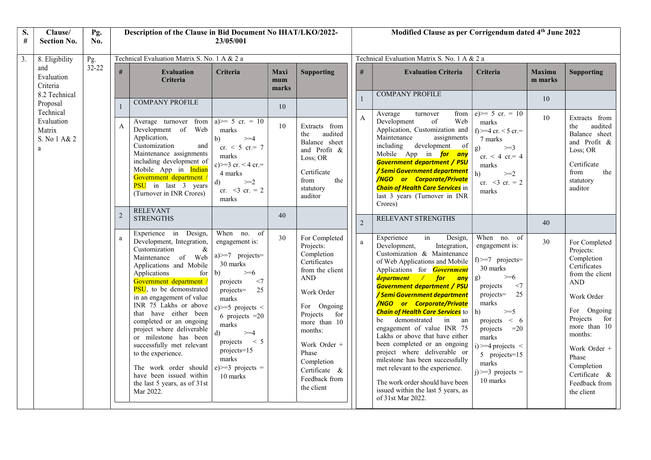| S.<br>#          | Clause/<br><b>Section No.</b>                          | Pg.<br>No. | Description of the Clause in Bid Document No IHAT/LKO/2022-<br>23/05/001 |                                                                                                                                                                                                                                                                                                                                                                                                                                                                                                                               |                                                                                                                                                                                                                                                                                                    |                             |                                                                                                                                                                                                                                                                       |  |                                              | Modified Clause as per Corrigendum dated 4th June 2022                                                                                                                                                                                                                                                                                                                                                                                                                                                                                                                                                                                                                              |                                                                                                                                                                                                                                                                                                    |                          |                                                                                                                                                                                                                                                             |  |  |  |
|------------------|--------------------------------------------------------|------------|--------------------------------------------------------------------------|-------------------------------------------------------------------------------------------------------------------------------------------------------------------------------------------------------------------------------------------------------------------------------------------------------------------------------------------------------------------------------------------------------------------------------------------------------------------------------------------------------------------------------|----------------------------------------------------------------------------------------------------------------------------------------------------------------------------------------------------------------------------------------------------------------------------------------------------|-----------------------------|-----------------------------------------------------------------------------------------------------------------------------------------------------------------------------------------------------------------------------------------------------------------------|--|----------------------------------------------|-------------------------------------------------------------------------------------------------------------------------------------------------------------------------------------------------------------------------------------------------------------------------------------------------------------------------------------------------------------------------------------------------------------------------------------------------------------------------------------------------------------------------------------------------------------------------------------------------------------------------------------------------------------------------------------|----------------------------------------------------------------------------------------------------------------------------------------------------------------------------------------------------------------------------------------------------------------------------------------------------|--------------------------|-------------------------------------------------------------------------------------------------------------------------------------------------------------------------------------------------------------------------------------------------------------|--|--|--|
| $\overline{3}$ . | 8. Eligibility                                         | Pg.        | Technical Evaluation Matrix S. No. 1 A & 2 a                             |                                                                                                                                                                                                                                                                                                                                                                                                                                                                                                                               |                                                                                                                                                                                                                                                                                                    |                             |                                                                                                                                                                                                                                                                       |  | Technical Evaluation Matrix S. No. 1 A & 2 a |                                                                                                                                                                                                                                                                                                                                                                                                                                                                                                                                                                                                                                                                                     |                                                                                                                                                                                                                                                                                                    |                          |                                                                                                                                                                                                                                                             |  |  |  |
|                  | and<br>Evaluation<br>Criteria                          | $32 - 22$  | $\#$                                                                     | <b>Evaluation</b><br>Criteria                                                                                                                                                                                                                                                                                                                                                                                                                                                                                                 | Criteria                                                                                                                                                                                                                                                                                           | <b>Maxi</b><br>mum<br>marks | <b>Supporting</b>                                                                                                                                                                                                                                                     |  | #                                            | <b>Evaluation Criteria</b>                                                                                                                                                                                                                                                                                                                                                                                                                                                                                                                                                                                                                                                          | <b>Criteria</b>                                                                                                                                                                                                                                                                                    | <b>Maximu</b><br>m marks | <b>Supporting</b>                                                                                                                                                                                                                                           |  |  |  |
|                  | 8.2 Technical<br>Proposal                              |            |                                                                          | <b>COMPANY PROFILE</b>                                                                                                                                                                                                                                                                                                                                                                                                                                                                                                        |                                                                                                                                                                                                                                                                                                    | 10                          |                                                                                                                                                                                                                                                                       |  |                                              | <b>COMPANY PROFILE</b>                                                                                                                                                                                                                                                                                                                                                                                                                                                                                                                                                                                                                                                              |                                                                                                                                                                                                                                                                                                    | 10                       |                                                                                                                                                                                                                                                             |  |  |  |
|                  | Technical<br>Evaluation<br>Matrix<br>S. No 1 A& 2<br>a |            | $\mathbf{A}$                                                             | Average turnover<br>from<br>Development of Web<br>Application,<br>Customization<br>and<br>Maintenance assignments<br>including development of<br>Mobile App in Indian<br>Government department /<br><b>PSU</b> in last 3 years<br>(Turnover in INR Crores)                                                                                                                                                                                                                                                                    | a) $> = 5$ cr. = 10<br>marks<br>b)<br>$>=$ 4<br>cr. $< 5$ cr. = 7<br>marks<br>c) $> = 3$ cr. < 4 cr. =<br>4 marks<br>$\geq$ -2.<br>$\mathbf{d}$<br>cr. $<$ 3 cr. = 2<br>marks                                                                                                                      | 10                          | Extracts from<br>audited<br>the<br>Balance sheet<br>and Profit &<br>Loss; OR<br>Certificate<br>the<br>from<br>statutory<br>auditor                                                                                                                                    |  | $\mathbf{A}$                                 | Average<br>from<br>turnover<br>Development<br>of<br>Web<br>Application, Customization and<br>Maintenance<br>assignments<br>including<br>development of<br>Mobile App in for any<br><b>Government department / PSU</b><br>/ Semi Government department<br><b>/NGO</b> or Corporate/Private<br><b>Chain of Health Care Services</b> in<br>last 3 years (Turnover in INR<br>Crores)                                                                                                                                                                                                                                                                                                    | $e) >= 5$ cr. = 10<br>marks<br>f) >=4 cr. < 5 cr. =<br>7 marks<br>g)<br>$>=3$<br>$cr. < 4 cr. = 4$<br>marks<br>h)<br>$>=2$<br>cr. $<$ 3 cr. = 2<br>marks                                                                                                                                           | 10                       | Extracts from<br>audited<br>the<br>Balance sheet<br>and Profit &<br>Loss; OR<br>Certificate<br>from<br>the<br>statutory<br>auditor                                                                                                                          |  |  |  |
|                  |                                                        |            |                                                                          | <b>RELEVANT</b><br><b>STRENGTHS</b>                                                                                                                                                                                                                                                                                                                                                                                                                                                                                           |                                                                                                                                                                                                                                                                                                    | 40                          |                                                                                                                                                                                                                                                                       |  | 2                                            | RELEVANT STRENGTHS                                                                                                                                                                                                                                                                                                                                                                                                                                                                                                                                                                                                                                                                  |                                                                                                                                                                                                                                                                                                    | 40                       |                                                                                                                                                                                                                                                             |  |  |  |
|                  |                                                        |            | a                                                                        | Experience in Design,<br>Development, Integration,<br>Customization<br>$\&$<br>Maintenance of Web<br>Applications and Mobile<br>Applications<br>for<br>Government department /<br>PSU, to be demonstrated<br>in an engagement of value<br>INR 75 Lakhs or above<br>that have either been<br>completed or an ongoing<br>project where deliverable<br>or milestone has been<br>successfully met relevant<br>to the experience.<br>The work order should<br>have been issued within<br>the last 5 years, as of 31st<br>Mar 2022. | When no. of<br>engagement is:<br>$a) \geq -7$ projects=<br>30 marks<br>b)<br>$\geq=6$<br>projects<br><7<br>projects=<br>25<br>marks<br>c) $>=$ 5 projects <<br>6 projects $=20$<br>marks<br>$\mathbf{d}$<br>$>=$ 4<br>projects $\lt$ 5<br>$projects=15$<br>marks<br>$e)>=3$ projects =<br>10 marks | 30                          | For Completed<br>Projects:<br>Completion<br>Certificates<br>from the client<br>$\operatorname{AND}$<br>Work Order<br>For Ongoing<br>Projects<br>for<br>more than 10<br>months:<br>Work Order +<br>Phase<br>Completion<br>Certificate &<br>Feedback from<br>the client |  | a                                            | Experience<br>in<br>Design,<br>Integration,<br>Development,<br>Customization & Maintenance<br>of Web Applications and Mobile<br>Applications for <b>Government</b><br>department / for<br>any<br><b>Government department / PSU</b><br>/ Semi Government department<br><b>/NGO or Corporate/Private</b><br><b>Chain of Health Care Services</b> to<br>demonstrated in an<br>be<br>engagement of value INR 75<br>Lakhs or above that have either<br>been completed or an ongoing<br>project where deliverable or<br>milestone has been successfully<br>met relevant to the experience.<br>The work order should have been<br>issued within the last 5 years, as<br>of 31st Mar 2022. | When no. of<br>engagement is:<br>$f$ $>=$ 7 projects=<br>30 marks<br>$\geq 6$<br>$\mathbf{g}$<br><7<br>projects<br>$projects =$<br>25<br>marks<br>$>=5$<br>h)<br>projects $\lt$ 6<br>projects $=20$<br>marks<br>$i$ ) >=4 projects <<br>5 projects=15<br>marks<br>$i$ ) >=3 projects =<br>10 marks | 30                       | For Completed<br>Projects:<br>Completion<br>Certificates<br>from the client<br><b>AND</b><br>Work Order<br>For Ongoing<br>Projects<br>for<br>more than 10<br>months:<br>Work Order +<br>Phase<br>Completion<br>Certificate &<br>Feedback from<br>the client |  |  |  |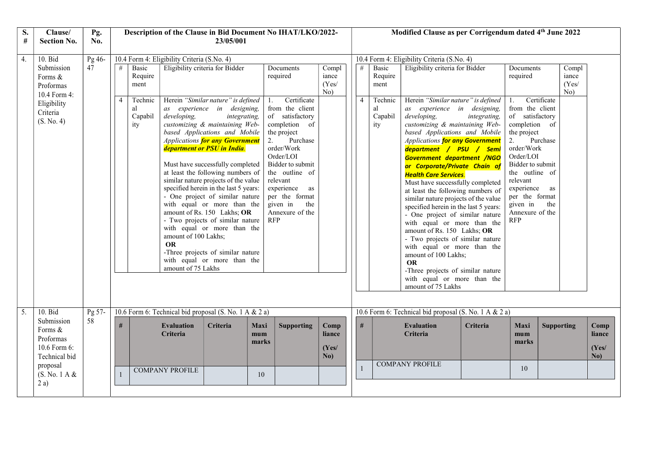| S.<br>$\#$ | Clause/<br><b>Section No.</b>                                                                            | Pg.<br>No.   | Description of the Clause in Bid Document No IHAT/LKO/2022-<br>23/05/001 |                                                             |                               |                                                                                                                                                                                                                                                                                                                                                                                                                                                                                                                                                                                                                                                                                                                                                                                           |                         |                                                                                                                                                                                                                                                                              |                                | Modified Clause as per Corrigendum dated 4th June 2022 |                                                             |                                                                                               |                                                                                                                                                                                                                                                                                                                                                                                                                                                                                                                                                                                                                                                                                                                                                                                                                                                                                                                                                                                                                                                                                       |                      |                   |                                |                                |
|------------|----------------------------------------------------------------------------------------------------------|--------------|--------------------------------------------------------------------------|-------------------------------------------------------------|-------------------------------|-------------------------------------------------------------------------------------------------------------------------------------------------------------------------------------------------------------------------------------------------------------------------------------------------------------------------------------------------------------------------------------------------------------------------------------------------------------------------------------------------------------------------------------------------------------------------------------------------------------------------------------------------------------------------------------------------------------------------------------------------------------------------------------------|-------------------------|------------------------------------------------------------------------------------------------------------------------------------------------------------------------------------------------------------------------------------------------------------------------------|--------------------------------|--------------------------------------------------------|-------------------------------------------------------------|-----------------------------------------------------------------------------------------------|---------------------------------------------------------------------------------------------------------------------------------------------------------------------------------------------------------------------------------------------------------------------------------------------------------------------------------------------------------------------------------------------------------------------------------------------------------------------------------------------------------------------------------------------------------------------------------------------------------------------------------------------------------------------------------------------------------------------------------------------------------------------------------------------------------------------------------------------------------------------------------------------------------------------------------------------------------------------------------------------------------------------------------------------------------------------------------------|----------------------|-------------------|--------------------------------|--------------------------------|
| 4.         | $10.$ Bid<br>Submission<br>Forms &<br>Proformas<br>10.4 Form 4:<br>Eligibility<br>Criteria<br>(S. No. 4) | Pg 46-<br>47 | #<br>4                                                                   | Basic<br>Require<br>ment<br>Technic<br>al<br>Capabil<br>ity | developing,<br><b>OR</b>      | 10.4 Form 4: Eligibility Criteria (S.No. 4)<br>Eligibility criteria for Bidder<br>Herein "Similar nature" is defined<br>1.<br>as experience in designing,<br>integrating,<br>customizing & maintaining Web-<br>based Applications and Mobile<br>2.<br><b>Applications for any Government</b><br>department or PSU in India.<br>Must have successfully completed<br>at least the following numbers of<br>similar nature projects of the value<br>specified herein in the last 5 years:<br>- One project of similar nature<br>with equal or more than the<br>amount of Rs. 150 Lakhs; OR<br>- Two projects of similar nature<br><b>RFP</b><br>with equal or more than the<br>amount of 100 Lakhs;<br>-Three projects of similar nature<br>with equal or more than the<br>amount of 75 Lakhs |                         | Documents<br>required<br>Certificate<br>from the client<br>of satisfactory<br>completion of<br>the project<br>Purchase<br>order/Work<br>Order/LOI<br>Bidder to submit<br>the outline of<br>relevant<br>experience as<br>per the format<br>given in<br>the<br>Annexure of the | Compl<br>iance<br>(Yes)<br>No) | #<br>$\overline{4}$                                    | Basic<br>Require<br>ment<br>Technic<br>al<br>Capabil<br>ity | 10.4 Form 4: Eligibility Criteria (S.No. 4)<br>developing,<br><b>OR</b><br>amount of 75 Lakhs | Eligibility criteria for Bidder<br>Documents<br>required<br>Herein "Similar nature" is defined<br>Certificate<br>1.<br>from the client<br>as experience in designing,<br>of satisfactory<br>integrating,<br>customizing & maintaining Web-<br>completion of<br>based Applications and Mobile<br>the project<br>2.<br>Purchase<br>Applications for any Government<br>order/Work<br>department / PSU / Semi<br>Order/LOI<br><b>Government department /NGO</b><br>Bidder to submit<br>or Corporate/Private Chain of<br>the outline of<br><b>Health Care Services.</b><br>relevant<br>Must have successfully completed<br>experience<br>at least the following numbers of<br>per the format<br>similar nature projects of the value<br>given in<br>specified herein in the last 5 years:<br>Annexure of the<br>- One project of similar nature<br><b>RFP</b><br>with equal or more than the<br>amount of Rs. 150 Lakhs; OR<br>- Two projects of similar nature<br>with equal or more than the<br>amount of 100 Lakhs;<br>-Three projects of similar nature<br>with equal or more than the |                      | as<br>the         | Compl<br>iance<br>(Yes)<br>No) |                                |
| 5.         | 10. Bid                                                                                                  | Pg 57-       | 10.6 Form 6: Technical bid proposal (S. No. 1 A & 2 a)                   |                                                             |                               |                                                                                                                                                                                                                                                                                                                                                                                                                                                                                                                                                                                                                                                                                                                                                                                           |                         |                                                                                                                                                                                                                                                                              |                                | 10.6 Form 6: Technical bid proposal (S. No. 1 A & 2 a) |                                                             |                                                                                               |                                                                                                                                                                                                                                                                                                                                                                                                                                                                                                                                                                                                                                                                                                                                                                                                                                                                                                                                                                                                                                                                                       |                      |                   |                                |                                |
|            | Submission<br>Forms &<br>Proformas<br>10.6 Form 6:<br>Technical bid                                      | 58           | #                                                                        |                                                             | <b>Evaluation</b><br>Criteria | Criteria                                                                                                                                                                                                                                                                                                                                                                                                                                                                                                                                                                                                                                                                                                                                                                                  | Maxi<br>$m$ um<br>marks | <b>Supporting</b>                                                                                                                                                                                                                                                            | Comp<br>liance<br>(Yes/<br>No) | #                                                      |                                                             | <b>Evaluation</b><br><b>Criteria</b><br><b>COMPANY PROFILE</b>                                | Criteria                                                                                                                                                                                                                                                                                                                                                                                                                                                                                                                                                                                                                                                                                                                                                                                                                                                                                                                                                                                                                                                                              | Maxi<br>mum<br>marks | <b>Supporting</b> |                                | Comp<br>liance<br>(Yes/<br>No) |
|            | proposal<br>(S. No. 1 A &<br>2a)                                                                         |              |                                                                          |                                                             | <b>COMPANY PROFILE</b>        |                                                                                                                                                                                                                                                                                                                                                                                                                                                                                                                                                                                                                                                                                                                                                                                           | 10                      |                                                                                                                                                                                                                                                                              |                                |                                                        |                                                             |                                                                                               |                                                                                                                                                                                                                                                                                                                                                                                                                                                                                                                                                                                                                                                                                                                                                                                                                                                                                                                                                                                                                                                                                       | 10                   |                   |                                |                                |